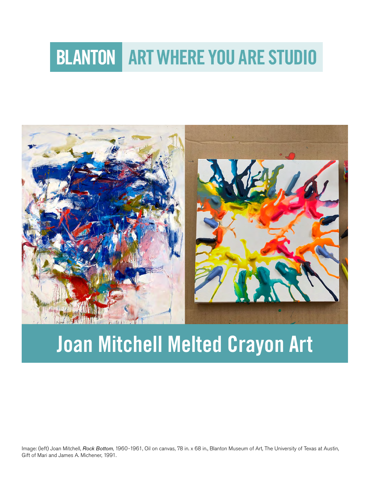# **BLANTON ART WHERE YOU ARE STUDIO**



# Joan Mitchell Melted Crayon Art

Image: (left) Joan Mitchell, *Rock Bottom*, 1960-1961, Oil on canvas, 78 in. x 68 in., Blanton Museum of Art, The University of Texas at Austin, Gift of Mari and James A. Michener, 1991.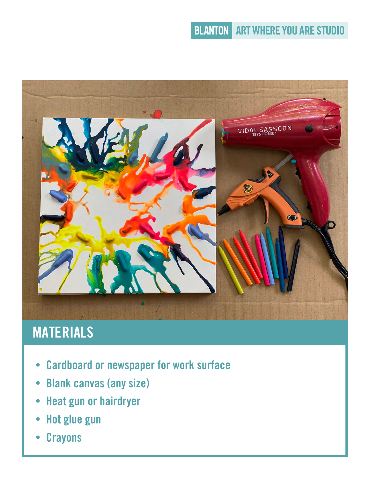## **BLANTON ART WHERE YOU ARE STUDIO**



# MATERIALS

- Cardboard or newspaper for work surface
- Blank canvas (any size)
- Heat gun or hairdryer
- Hot glue gun
- Crayons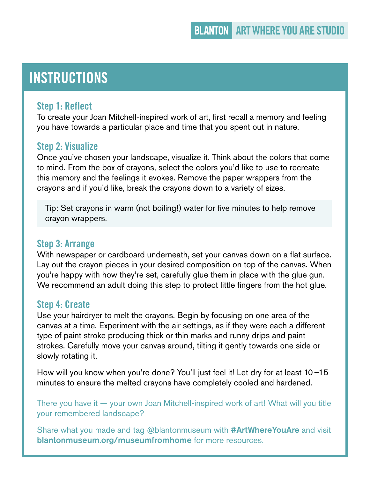## **INSTRUCTIONS**

#### Step 1: Reflect

To create your Joan Mitchell-inspired work of art, first recall a memory and feeling you have towards a particular place and time that you spent out in nature.

#### Step 2: Visualize

Once you've chosen your landscape, visualize it. Think about the colors that come to mind. From the box of crayons, select the colors you'd like to use to recreate this memory and the feelings it evokes. Remove the paper wrappers from the crayons and if you'd like, break the crayons down to a variety of sizes.

Tip: Set crayons in warm (not boiling!) water for five minutes to help remove crayon wrappers.

#### Step 3: Arrange

With newspaper or cardboard underneath, set your canvas down on a flat surface. Lay out the crayon pieces in your desired composition on top of the canvas. When you're happy with how they're set, carefully glue them in place with the glue gun. We recommend an adult doing this step to protect little fingers from the hot glue.

#### Step 4: Create

Use your hairdryer to melt the crayons. Begin by focusing on one area of the canvas at a time. Experiment with the air settings, as if they were each a different type of paint stroke producing thick or thin marks and runny drips and paint strokes. Carefully move your canvas around, tilting it gently towards one side or slowly rotating it.

How will you know when you're done? You'll just feel it! Let dry for at least 10-15 minutes to ensure the melted crayons have completely cooled and hardened.

There you have it  $-$  your own Joan Mitchell-inspired work of art! What will you title your remembered landscape?

Share what you made and tag @blantonmuseum with #ArtWhereYouAre and visit blantonmuseum.org/museumfromhome for more resources.